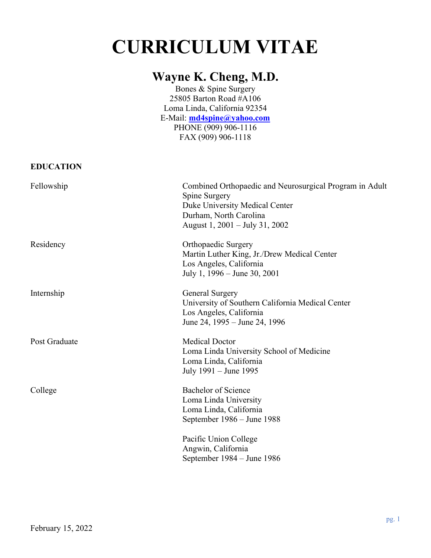# **CURRICULUM VITAE**

## **Wayne K. Cheng, M.D.**

Bones & Spine Surgery 25805 Barton Road #A106 Loma Linda, California 92354 E-Mail: **[md4spine@yahoo.com](mailto:md4spine@yahoo.com)** PHONE (909) 906-1116 FAX (909) 906-1118

**EDUCATION** 

| Fellowship    | Combined Orthopaedic and Neurosurgical Program in Adult<br>Spine Surgery<br>Duke University Medical Center<br>Durham, North Carolina<br>August 1, 2001 – July 31, 2002 |
|---------------|------------------------------------------------------------------------------------------------------------------------------------------------------------------------|
| Residency     | Orthopaedic Surgery<br>Martin Luther King, Jr./Drew Medical Center<br>Los Angeles, California<br>July 1, 1996 – June 30, 2001                                          |
| Internship    | <b>General Surgery</b><br>University of Southern California Medical Center<br>Los Angeles, California<br>June 24, 1995 – June 24, 1996                                 |
| Post Graduate | <b>Medical Doctor</b><br>Loma Linda University School of Medicine<br>Loma Linda, California<br>July 1991 - June 1995                                                   |
| College       | Bachelor of Science<br>Loma Linda University<br>Loma Linda, California<br>September 1986 – June 1988                                                                   |
|               | Pacific Union College<br>Angwin, California<br>September 1984 - June 1986                                                                                              |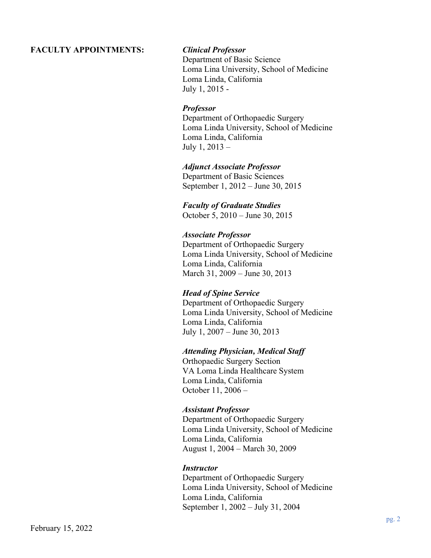#### **FACULTY APPOINTMENTS:** *Clinical Professor*

Department of Basic Science Loma Lina University, School of Medicine Loma Linda, California July 1, 2015 -

#### *Professor*

Department of Orthopaedic Surgery Loma Linda University, School of Medicine Loma Linda, California July 1, 2013 –

#### *Adjunct Associate Professor*

Department of Basic Sciences September 1, 2012 – June 30, 2015

#### *Faculty of Graduate Studies*

October 5, 2010 – June 30, 2015

#### *Associate Professor*

Department of Orthopaedic Surgery Loma Linda University, School of Medicine Loma Linda, California March 31, 2009 – June 30, 2013

#### *Head of Spine Service*

Department of Orthopaedic Surgery Loma Linda University, School of Medicine Loma Linda, California July 1, 2007 – June 30, 2013

#### *Attending Physician, Medical Staff*

Orthopaedic Surgery Section VA Loma Linda Healthcare System Loma Linda, California October 11, 2006 –

#### *Assistant Professor*

Department of Orthopaedic Surgery Loma Linda University, School of Medicine Loma Linda, California August 1, 2004 – March 30, 2009

#### *Instructor*

Department of Orthopaedic Surgery Loma Linda University, School of Medicine Loma Linda, California September 1, 2002 – July 31, 2004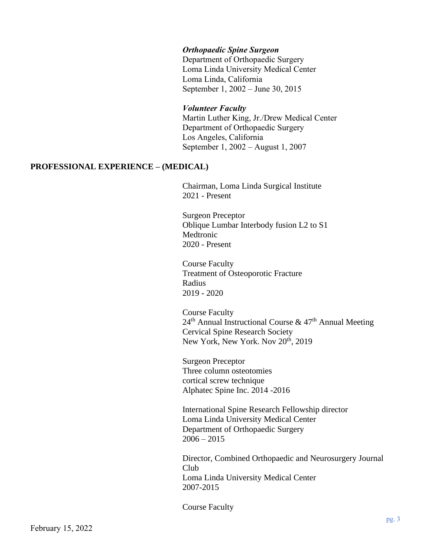#### *Orthopaedic Spine Surgeon*

Department of Orthopaedic Surgery Loma Linda University Medical Center Loma Linda, California September 1, 2002 – June 30, 2015

#### *Volunteer Faculty*

Martin Luther King, Jr./Drew Medical Center Department of Orthopaedic Surgery Los Angeles, California September 1, 2002 – August 1, 2007

#### **PROFESSIONAL EXPERIENCE – (MEDICAL)**

Chairman, Loma Linda Surgical Institute 2021 - Present

Surgeon Preceptor Oblique Lumbar Interbody fusion L2 to S1 Medtronic 2020 - Present

Course Faculty Treatment of Osteoporotic Fracture Radius 2019 - 2020

Course Faculty 24<sup>th</sup> Annual Instructional Course & 47<sup>th</sup> Annual Meeting Cervical Spine Research Society New York, New York. Nov  $20<sup>th</sup>$ , 2019

Surgeon Preceptor Three column osteotomies cortical screw technique Alphatec Spine Inc. 2014 -2016

International Spine Research Fellowship director Loma Linda University Medical Center Department of Orthopaedic Surgery  $2006 - 2015$ 

Director, Combined Orthopaedic and Neurosurgery Journal Club Loma Linda University Medical Center 2007-2015

Course Faculty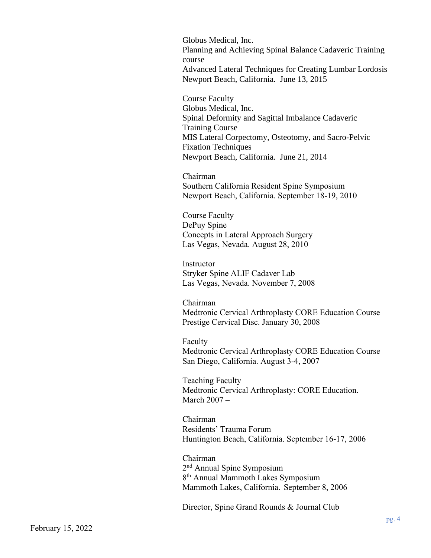Globus Medical, Inc. Planning and Achieving Spinal Balance Cadaveric Training course Advanced Lateral Techniques for Creating Lumbar Lordosis Newport Beach, California. June 13, 2015

Course Faculty Globus Medical, Inc. Spinal Deformity and Sagittal Imbalance Cadaveric Training Course MIS Lateral Corpectomy, Osteotomy, and Sacro-Pelvic Fixation Techniques Newport Beach, California. June 21, 2014

Chairman Southern California Resident Spine Symposium Newport Beach, California. September 18-19, 2010

Course Faculty DePuy Spine Concepts in Lateral Approach Surgery Las Vegas, Nevada. August 28, 2010

Instructor Stryker Spine ALIF Cadaver Lab Las Vegas, Nevada. November 7, 2008

Chairman Medtronic Cervical Arthroplasty CORE Education Course Prestige Cervical Disc. January 30, 2008

Faculty Medtronic Cervical Arthroplasty CORE Education Course San Diego, California. August 3-4, 2007

Teaching Faculty Medtronic Cervical Arthroplasty: CORE Education. March 2007 –

Chairman Residents' Trauma Forum Huntington Beach, California. September 16-17, 2006

Chairman 2<sup>nd</sup> Annual Spine Symposium 8<sup>th</sup> Annual Mammoth Lakes Symposium Mammoth Lakes, California. September 8, 2006

Director, Spine Grand Rounds & Journal Club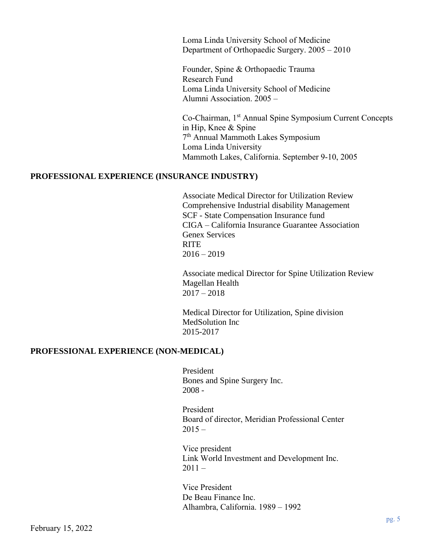Loma Linda University School of Medicine Department of Orthopaedic Surgery. 2005 – 2010

Founder, Spine & Orthopaedic Trauma Research Fund Loma Linda University School of Medicine Alumni Association. 2005 –

Co-Chairman, 1<sup>st</sup> Annual Spine Symposium Current Concepts in Hip, Knee & Spine 7<sup>th</sup> Annual Mammoth Lakes Symposium Loma Linda University Mammoth Lakes, California. September 9-10, 2005

#### **PROFESSIONAL EXPERIENCE (INSURANCE INDUSTRY)**

Associate Medical Director for Utilization Review Comprehensive Industrial disability Management SCF - State Compensation Insurance fund CIGA – California Insurance Guarantee Association Genex Services RITE  $2016 - 2019$ 

Associate medical Director for Spine Utilization Review Magellan Health 2017 – 2018

Medical Director for Utilization, Spine division MedSolution Inc 2015-2017

#### **PROFESSIONAL EXPERIENCE (NON-MEDICAL)**

President Bones and Spine Surgery Inc. 2008 -

President Board of director, Meridian Professional Center  $2015 -$ 

Vice president Link World Investment and Development Inc.  $2011 -$ 

Vice President De Beau Finance Inc. Alhambra, California. 1989 – 1992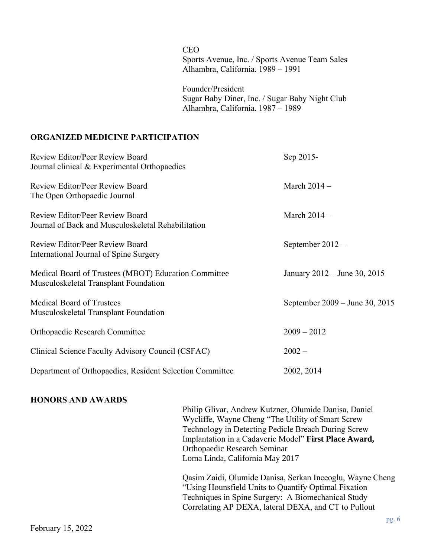| <b>Review Editor/Peer Review Board</b><br>Journal clinical & Experimental Orthopaedics        | Sep 2015-                      |
|-----------------------------------------------------------------------------------------------|--------------------------------|
| <b>Review Editor/Peer Review Board</b><br>The Open Orthopaedic Journal                        | March 2014 -                   |
| <b>Review Editor/Peer Review Board</b><br>Journal of Back and Musculoskeletal Rehabilitation  | March 2014 -                   |
| Review Editor/Peer Review Board<br>International Journal of Spine Surgery                     | September 2012 -               |
| Medical Board of Trustees (MBOT) Education Committee<br>Musculoskeletal Transplant Foundation | January 2012 – June 30, 2015   |
| <b>Medical Board of Trustees</b><br>Musculoskeletal Transplant Foundation                     | September 2009 – June 30, 2015 |
| <b>Orthopaedic Research Committee</b>                                                         | $2009 - 2012$                  |
| Clinical Science Faculty Advisory Council (CSFAC)                                             | $2002 -$                       |
| Department of Orthopaedics, Resident Selection Committee                                      | 2002, 2014                     |

CEO

Founder/President

Sports Avenue, Inc. / Sports Avenue Team Sales

Sugar Baby Diner, Inc. / Sugar Baby Night Club

Alhambra, California. 1989 – 1991

Alhambra, California. 1987 – 1989

#### **HONORS AND AWARDS**

**ORGANIZED MEDICINE PARTICIPATION**

Philip Glivar, Andrew Kutzner, Olumide Danisa, Daniel Wycliffe, Wayne Cheng "The Utility of Smart Screw Technology in Detecting Pedicle Breach During Screw Implantation in a Cadaveric Model" **First Place Award,**  Orthopaedic Research Seminar Loma Linda, California May 2017

Qasim Zaidi, Olumide Danisa, Serkan Inceoglu, Wayne Cheng "Using Hounsfield Units to Quantify Optimal Fixation Techniques in Spine Surgery: A Biomechanical Study Correlating AP DEXA, lateral DEXA, and CT to Pullout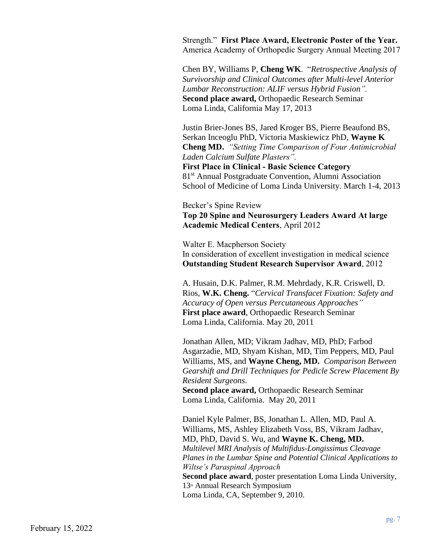Strength." **First Place Award, Electronic Poster of the Year.** America Academy of Orthopedic Surgery Annual Meeting 2017

Chen BY, Williams P, **Cheng WK**. "*Retrospective Analysis of Survivorship and Clinical Outcomes after Multi-level Anterior Lumbar Reconstruction: ALIF versus Hybrid Fusion".* **Second place award,** Orthopaedic Research Seminar Loma Linda, California May 17, 2013

Justin Brier-Jones BS, Jared Kroger BS, Pierre Beaufond BS, Serkan Inceoglu PhD, Victoria Maskiewicz PhD, **Wayne K Cheng MD.** *"Setting Time Comparison of Four Antimicrobial Laden Calcium Sulfate Plasters".*

**First Place in Clinical - Basic Science Category** 81st Annual Postgraduate Convention, Alumni Association School of Medicine of Loma Linda University. March 1-4, 2013

Becker's Spine Review **Top 20 Spine and Neurosurgery Leaders Award At large Academic Medical Centers**, April 2012

Walter E. Macpherson Society In consideration of excellent investigation in medical science **Outstanding Student Research Supervisor Award**, 2012

A. Husain, D.K. Palmer, R.M. Mehrdady, K.R. Criswell, D. Rios, **W.K. Cheng.** "*Cervical Transfacet Fixation: Safety and Accuracy of Open versus Percutaneous Approaches"* **First place award**, Orthopaedic Research Seminar Loma Linda, California. May 20, 2011

Jonathan Allen, MD; Vikram Jadhav, MD, PhD; Farbod Asgarzadie, MD, Shyam Kishan, MD, Tim Peppers, MD, Paul Williams, MS, and **Wayne Cheng, MD.** *Comparison Between Gearshift and Drill Techniques for Pedicle Screw Placement By Resident Surgeons*.

**Second place award,** Orthopaedic Research Seminar Loma Linda, California. May 20, 2011

Daniel Kyle Palmer, BS, Jonathan L. Allen, MD, Paul A. Williams, MS, Ashley Elizabeth Voss, BS, Vikram Jadhav, MD, PhD, David S. Wu, and **Wayne K. Cheng, MD.**  *Multilevel MRI Analysis of Multifidus-Longissimus Cleavage Planes in the Lumbar Spine and Potential Clinical Applications to Wiltse's Paraspinal Approach* **Second place award**, poster presentation Loma Linda University, 13<sup>th</sup> Annual Research Symposium Loma Linda, CA, September 9, 2010.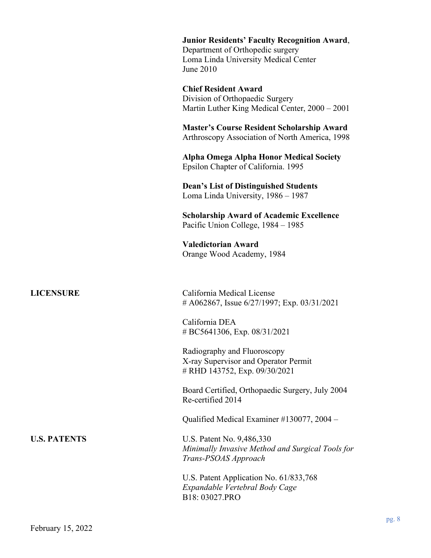|                     | <b>Junior Residents' Faculty Recognition Award,</b><br>Department of Orthopedic surgery<br>Loma Linda University Medical Center<br>June 2010 |
|---------------------|----------------------------------------------------------------------------------------------------------------------------------------------|
|                     | <b>Chief Resident Award</b><br>Division of Orthopaedic Surgery<br>Martin Luther King Medical Center, 2000 - 2001                             |
|                     | <b>Master's Course Resident Scholarship Award</b><br>Arthroscopy Association of North America, 1998                                          |
|                     | Alpha Omega Alpha Honor Medical Society<br>Epsilon Chapter of California. 1995                                                               |
|                     | <b>Dean's List of Distinguished Students</b><br>Loma Linda University, 1986 - 1987                                                           |
|                     | <b>Scholarship Award of Academic Excellence</b><br>Pacific Union College, 1984 - 1985                                                        |
|                     | <b>Valedictorian Award</b><br>Orange Wood Academy, 1984                                                                                      |
| <b>LICENSURE</b>    | California Medical License<br># A062867, Issue 6/27/1997; Exp. 03/31/2021                                                                    |
|                     | California DEA<br>#BC5641306, Exp. 08/31/2021                                                                                                |
|                     | Radiography and Fluoroscopy<br>X-ray Supervisor and Operator Permit<br># RHD 143752, Exp. 09/30/2021                                         |
|                     | Board Certified, Orthopaedic Surgery, July 2004<br>Re-certified 2014                                                                         |
|                     | Qualified Medical Examiner #130077, 2004 -                                                                                                   |
| <b>U.S. PATENTS</b> | U.S. Patent No. 9,486,330<br>Minimally Invasive Method and Surgical Tools for<br>Trans-PSOAS Approach                                        |
|                     | U.S. Patent Application No. 61/833,768<br>Expandable Vertebral Body Cage<br>B18: 03027.PRO                                                   |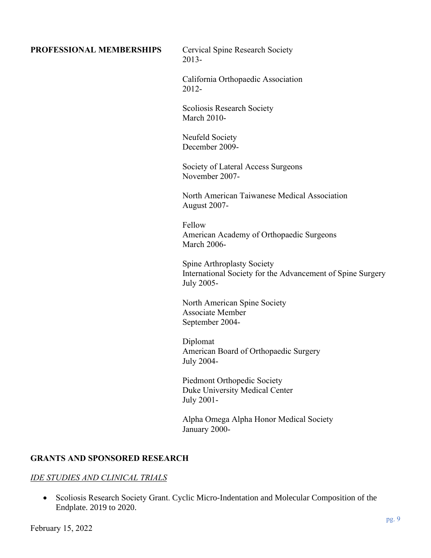#### **PROFESSIONAL MEMBERSHIPS** Cervical Spine Research Society

2013-

California Orthopaedic Association 2012-

Scoliosis Research Society March 2010-

Neufeld Society December 2009-

Society of Lateral Access Surgeons November 2007-

North American Taiwanese Medical Association August 2007-

Fellow American Academy of Orthopaedic Surgeons March 2006-

Spine Arthroplasty Society International Society for the Advancement of Spine Surgery July 2005-

North American Spine Society Associate Member September 2004-

Diplomat American Board of Orthopaedic Surgery July 2004-

Piedmont Orthopedic Society Duke University Medical Center July 2001-

Alpha Omega Alpha Honor Medical Society January 2000-

#### **GRANTS AND SPONSORED RESEARCH**

#### *IDE STUDIES AND CLINICAL TRIALS*

• Scoliosis Research Society Grant. Cyclic Micro-Indentation and Molecular Composition of the Endplate. 2019 to 2020.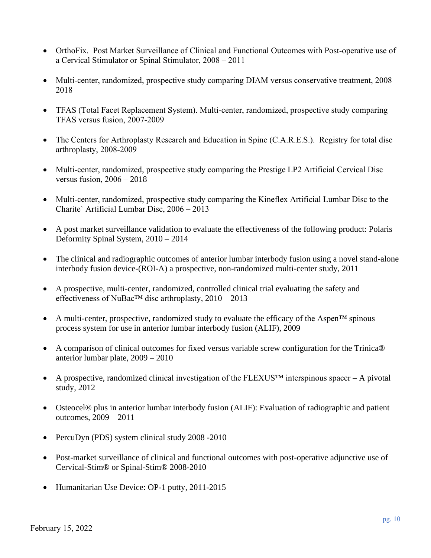- OrthoFix. Post Market Surveillance of Clinical and Functional Outcomes with Post-operative use of a Cervical Stimulator or Spinal Stimulator, 2008 – 2011
- Multi-center, randomized, prospective study comparing DIAM versus conservative treatment, 2008 2018
- TFAS (Total Facet Replacement System). Multi-center, randomized, prospective study comparing TFAS versus fusion, 2007-2009
- The Centers for Arthroplasty Research and Education in Spine (C.A.R.E.S.). Registry for total disc arthroplasty, 2008-2009
- Multi-center, randomized, prospective study comparing the Prestige LP2 Artificial Cervical Disc versus fusion, 2006 – 2018
- Multi-center, randomized, prospective study comparing the Kineflex Artificial Lumbar Disc to the Charite` Artificial Lumbar Disc, 2006 – 2013
- A post market surveillance validation to evaluate the effectiveness of the following product: Polaris Deformity Spinal System, 2010 – 2014
- The clinical and radiographic outcomes of anterior lumbar interbody fusion using a novel stand-alone interbody fusion device-(ROI-A) a prospective, non-randomized multi-center study, 2011
- A prospective, multi-center, randomized, controlled clinical trial evaluating the safety and effectiveness of NuBac<sup>TM</sup> disc arthroplasty,  $2010 - 2013$
- A multi-center, prospective, randomized study to evaluate the efficacy of the Aspen<sup>™</sup> spinous process system for use in anterior lumbar interbody fusion (ALIF), 2009
- A comparison of clinical outcomes for fixed versus variable screw configuration for the Trinica® anterior lumbar plate, 2009 – 2010
- A prospective, randomized clinical investigation of the FLEXUS<sup>TM</sup> interspinous spacer A pivotal study, 2012
- Osteocel<sup>®</sup> plus in anterior lumbar interbody fusion (ALIF): Evaluation of radiographic and patient outcomes, 2009 – 2011
- PercuDyn (PDS) system clinical study 2008 -2010
- Post-market surveillance of clinical and functional outcomes with post-operative adjunctive use of Cervical-Stim® or Spinal-Stim® 2008-2010
- Humanitarian Use Device: OP-1 putty, 2011-2015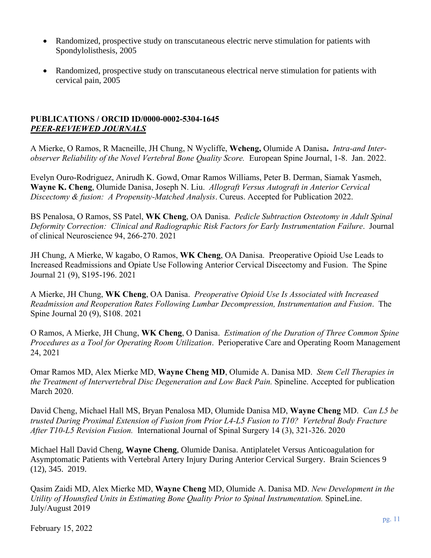- Randomized, prospective study on transcutaneous electric nerve stimulation for patients with Spondylolisthesis, 2005
- Randomized, prospective study on transcutaneous electrical nerve stimulation for patients with cervical pain, 2005

#### **PUBLICATIONS / ORCID ID/0000-0002-5304-1645** *PEER-REVIEWED JOURNALS*

A Mierke, O Ramos, R Macneille, JH Chung, N Wycliffe, **Wcheng,** Olumide A Danisa**.** *Intra-and Interobserver Reliability of the Novel Vertebral Bone Quality Score.* European Spine Journal, 1-8. Jan. 2022.

Evelyn Ouro-Rodriguez, Anirudh K. Gowd, Omar Ramos Williams, Peter B. Derman, Siamak Yasmeh, **Wayne K. Cheng**, Olumide Danisa, Joseph N. Liu. *Allograft Versus Autograft in Anterior Cervical Discectomy & fusion: A Propensity-Matched Analysis*. Cureus. Accepted for Publication 2022.

BS Penalosa, O Ramos, SS Patel, **WK Cheng**, OA Danisa. *Pedicle Subtraction Osteotomy in Adult Spinal Deformity Correction: Clinical and Radiographic Risk Factors for Early Instrumentation Failure*. Journal of clinical Neuroscience 94, 266-270. 2021

JH Chung, A Mierke, W kagabo, O Ramos, **WK Cheng**, OA Danisa. Preoperative Opioid Use Leads to Increased Readmissions and Opiate Use Following Anterior Cervical Discectomy and Fusion. The Spine Journal 21 (9), S195-196. 2021

A Mierke, JH Chung, **WK Cheng**, OA Danisa. *Preoperative Opioid Use Is Associated with Increased Readmission and Reoperation Rates Following Lumbar Decompression, Instrumentation and Fusion*. The Spine Journal 20 (9), S108. 2021

O Ramos, A Mierke, JH Chung, **WK Cheng**, O Danisa. *Estimation of the Duration of Three Common Spine Procedures as a Tool for Operating Room Utilization*. Perioperative Care and Operating Room Management 24, 2021

Omar Ramos MD, Alex Mierke MD, **Wayne Cheng MD**, Olumide A. Danisa MD. *Stem Cell Therapies in the Treatment of Intervertebral Disc Degeneration and Low Back Pain.* Spineline. Accepted for publication March 2020.

David Cheng, Michael Hall MS, Bryan Penalosa MD, Olumide Danisa MD, **Wayne Cheng** MD. *Can L5 be trusted During Proximal Extension of Fusion from Prior L4-L5 Fusion to T10? Vertebral Body Fracture After T10-L5 Revision Fusion.* International Journal of Spinal Surgery 14 (3), 321-326. 2020

Michael Hall David Cheng, **Wayne Cheng**, Olumide Danisa. Antiplatelet Versus Anticoagulation for Asymptomatic Patients with Vertebral Artery Injury During Anterior Cervical Surgery. Brain Sciences 9 (12), 345. 2019.

Qasim Zaidi MD, Alex Mierke MD, **Wayne Cheng** MD, Olumide A. Danisa MD. *New Development in the Utility of Hounsfied Units in Estimating Bone Quality Prior to Spinal Instrumentation.* SpineLine. July/August 2019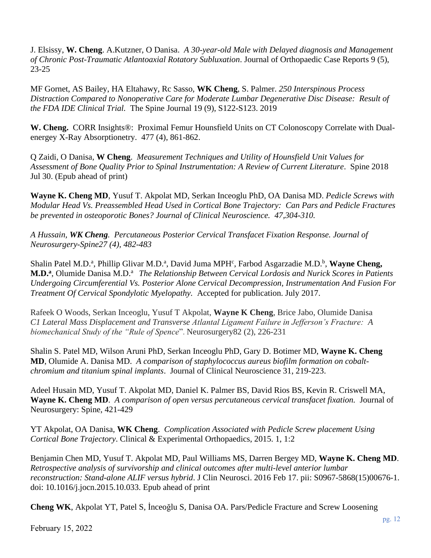J. Elsissy, **W. Cheng**. A.Kutzner, O Danisa. *A 30-year-old Male with Delayed diagnosis and Management of Chronic Post-Traumatic Atlantoaxial Rotatory Subluxation*. Journal of Orthopaedic Case Reports 9 (5), 23-25

MF Gornet, AS Bailey, HA Eltahawy, Rc Sasso, **WK Cheng**, S. Palmer. *250 Interspinous Process Distraction Compared to Nonoperative Care for Moderate Lumbar Degenerative Disc Disease: Result of the FDA IDE Clinical Trial.* The Spine Journal 19 (9), S122-S123. 2019

**W. Cheng.** CORR Insights®: Proximal Femur Hounsfield Units on CT Colonoscopy Correlate with Dualenergey X-Ray Absorptionetry. 477 (4), 861-862.

Q Zaidi, O Danisa, **W Cheng**. *Measurement Techniques and Utility of Hounsfield Unit Values for Assessment of Bone Quality Prior to Spinal Instrumentation: A Review of Current Literature*. Spine 2018 Jul 30. (Epub ahead of print)

**Wayne K. Cheng MD**, Yusuf T. Akpolat MD, Serkan Inceoglu PhD, OA Danisa MD. *Pedicle Screws with Modular Head Vs. Preassembled Head Used in Cortical Bone Trajectory: Can Pars and Pedicle Fractures be prevented in osteoporotic Bones? Journal of Clinical Neuroscience. 47,304-310.*

*A Hussain, WK Cheng. Percutaneous Posterior Cervical Transfacet Fixation Response. Journal of Neurosurgery-Spine27 (4), 482-483*

Shalin Patel M.D.<sup>a</sup>, Phillip Glivar M.D.<sup>a</sup>, David Juma MPH<sup>c</sup>, Farbod Asgarzadie M.D.<sup>b</sup>, Wayne Cheng, **M.D.<sup>a</sup>**, Olumide Danisa M.D.<sup>a</sup> The Relationship Between Cervical Lordosis and Nurick Scores in Patients *Undergoing Circumferential Vs. Posterior Alone Cervical Decompression, Instrumentation And Fusion For Treatment Of Cervical Spondylotic Myelopathy.*Accepted for publication. July 2017.

Rafeek O Woods, Serkan Inceoglu, Yusuf T Akpolat, **Wayne K Cheng**, Brice Jabo, Olumide Danisa *C1 Lateral Mass Displacement and Transverse Atlantal Ligament Failure in Jefferson's Fracture: A biomechanical Study of the "Rule of Spence*". Neurosurgery82 (2), 226-231

Shalin S. Patel MD, Wilson Aruni PhD, Serkan Inceoglu PhD, Gary D. Botimer MD, **Wayne K. Cheng MD**, Olumide A. Danisa MD. *A comparison of staphylococcus aureus biofilm formation on cobaltchromium and titanium spinal implants*. Journal of Clinical Neuroscience 31, 219-223.

Adeel Husain MD, Yusuf T. Akpolat MD, Daniel K. Palmer BS, David Rios BS, Kevin R. Criswell MA, **Wayne K. Cheng MD**. *A comparison of open versus percutaneous cervical transfacet fixation.* Journal of Neurosurgery: Spine, 421-429

YT Akpolat, OA Danisa, **WK Cheng**. *Complication Associated with Pedicle Screw placement Using Cortical Bone Trajectory*. Clinical & Experimental Orthopaedics, 2015. 1, 1:2

Benjamin Chen MD, Yusuf T. Akpolat MD, Paul Williams MS, Darren Bergey MD, **Wayne K. Cheng MD**. *Retrospective analysis of survivorship and clinical outcomes after multi-level anterior lumbar reconstruction: Stand-alone ALIF versus hybrid*. J Clin Neurosci. 2016 Feb 17. pii: S0967-5868(15)00676-1. doi: 10.1016/j.jocn.2015.10.033. Epub ahead of print

**Cheng WK**, Akpolat YT, Patel S, İnceoğlu S, Danisa OA. Pars/Pedicle Fracture and Screw Loosening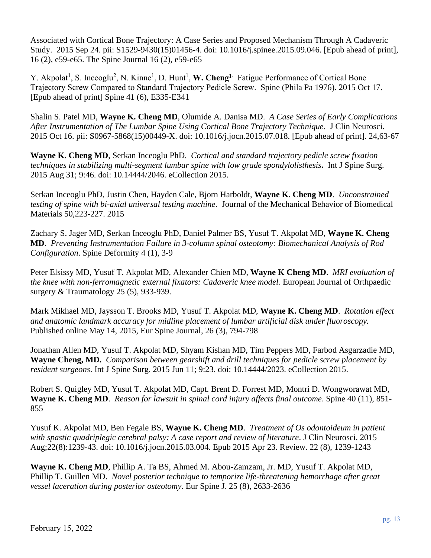Associated with Cortical Bone Trajectory: A Case Series and Proposed Mechanism Through A Cadaveric Study. 2015 Sep 24. pii: S1529-9430(15)01456-4. doi: 10.1016/j.spinee.2015.09.046. [Epub ahead of print], 16 (2), e59-e65. The Spine Journal 16 (2), e59-e65

Y. Akpolat<sup>1</sup>, S. Inceoglu<sup>2</sup>, N. Kinne<sup>1</sup>, D. Hunt<sup>1</sup>, W. Cheng<sup>1.</sup> Fatigue Performance of Cortical Bone Trajectory Screw Compared to Standard Trajectory Pedicle Screw.Spine (Phila Pa 1976). 2015 Oct 17. [Epub ahead of print] Spine 41 (6), E335-E341

Shalin S. Patel MD, **Wayne K. Cheng MD**, Olumide A. Danisa MD. *A Case Series of Early Complications After Instrumentation of The Lumbar Spine Using Cortical Bone Trajectory Technique*.J Clin Neurosci. 2015 Oct 16. pii: S0967-5868(15)00449-X. doi: 10.1016/j.jocn.2015.07.018. [Epub ahead of print]. 24,63-67

**Wayne K. Cheng MD**, Serkan Inceoglu PhD. *Cortical and standard trajectory pedicle screw fixation techniques in stabilizing multi-segment lumbar spine with low grade spondylolisthesis***.** Int J Spine Surg. 2015 Aug 31; 9:46. doi: 10.14444/2046. eCollection 2015.

Serkan Inceoglu PhD, Justin Chen, Hayden Cale, Bjorn Harboldt, **Wayne K. Cheng MD**. *Unconstrained testing of spine with bi-axial universal testing machine*. Journal of the Mechanical Behavior of Biomedical Materials 50,223-227. 2015

Zachary S. Jager MD, Serkan Inceoglu PhD, Daniel Palmer BS, Yusuf T. Akpolat MD, **Wayne K. Cheng MD**. *Preventing Instrumentation Failure in 3-column spinal osteotomy: Biomechanical Analysis of Rod Configuration*. Spine Deformity 4 (1), 3-9

Peter Elsissy MD, Yusuf T. Akpolat MD, Alexander Chien MD, **Wayne K Cheng MD**. *MRI evaluation of the knee with non-ferromagnetic external fixators: Cadaveric knee model.* European Journal of Orthpaedic surgery & Traumatology 25 (5), 933-939.

Mark Mikhael MD, Jaysson T. Brooks MD, Yusuf T. Akpolat MD, **Wayne K. Cheng MD**. *Rotation effect and anatomic landmark accuracy for midline placement of lumbar artificial disk under fluoroscopy.* Published online May 14, 2015, Eur Spine Journal, 26 (3), 794-798

Jonathan Allen MD, Yusuf T. Akpolat MD, Shyam Kishan MD, Tim Peppers MD, Farbod Asgarzadie MD, **Wayne Cheng, MD.** *Comparison between gearshift and drill techniques for pedicle screw placement by resident surgeons*. Int J Spine Surg. 2015 Jun 11; 9:23. doi: 10.14444/2023. eCollection 2015.

Robert S. Quigley MD, Yusuf T. Akpolat MD, Capt. Brent D. Forrest MD, Montri D. Wongworawat MD, **Wayne K. Cheng MD**. *Reason for lawsuit in spinal cord injury affects final outcome*. Spine 40 (11), 851- 855

Yusuf K. Akpolat MD, Ben Fegale BS, **Wayne K. Cheng MD**. *Treatment of Os odontoideum in patient*  with spastic quadriplegic cerebral palsy: A case report and review of literature. J Clin Neurosci. 2015 Aug;22(8):1239-43. doi: 10.1016/j.jocn.2015.03.004. Epub 2015 Apr 23. Review. 22 (8), 1239-1243

**Wayne K. Cheng MD**, Phillip A. Ta BS, Ahmed M. Abou-Zamzam, Jr. MD, Yusuf T. Akpolat MD, Phillip T. Guillen MD. *Novel posterior technique to temporize life-threatening hemorrhage after great vessel laceration during posterior osteotomy*. Eur Spine J. 25 (8), 2633-2636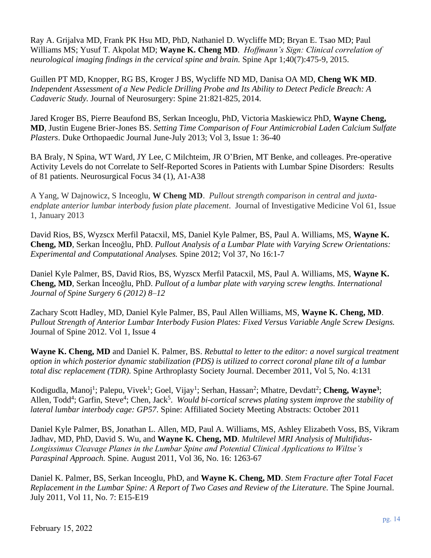Ray A. Grijalva MD, Frank PK Hsu MD, PhD, Nathaniel D. Wycliffe MD; Bryan E. Tsao MD; Paul Williams MS; Yusuf T. Akpolat MD; **Wayne K. Cheng MD**. *Hoffmann's Sign: Clinical correlation of neurological imaging findings in the cervical spine and brain.* Spine Apr 1;40(7):475-9, 2015.

Guillen PT MD, Knopper, RG BS, Kroger J BS, Wycliffe ND MD, Danisa OA MD, **Cheng WK MD**. *Independent Assessment of a New Pedicle Drilling Probe and Its Ability to Detect Pedicle Breach: A Cadaveric Study.* Journal of Neurosurgery: Spine 21:821-825, 2014.

Jared Kroger BS, Pierre Beaufond BS, Serkan Inceoglu, PhD, Victoria Maskiewicz PhD, **Wayne Cheng, MD**, Justin Eugene Brier-Jones BS. *Setting Time Comparison of Four Antimicrobial Laden Calcium Sulfate Plasters*. Duke Orthopaedic Journal June-July 2013; Vol 3, Issue 1: 36-40

BA Braly, N Spina, WT Ward, JY Lee, C Milchteim, JR O'Brien, MT Benke, and colleages. Pre-operative Activity Levels do not Correlate to Self-Reported Scores in Patients with Lumbar Spine Disorders: Results of 81 patients. Neurosurgical Focus 34 (1), A1-A38

A Yang, W Dajnowicz, S Inceoglu, **W Cheng MD**. *Pullout strength comparison in central and juxtaendplate anterior lumbar interbody fusion plate placement*. Journal of Investigative Medicine Vol 61, Issue 1, January 2013

David Rios, BS, Wyzscx Merfil Patacxil, MS, Daniel Kyle Palmer, BS, Paul A. Williams, MS, **Wayne K. Cheng, MD**, Serkan İnceoğlu, PhD. *Pullout Analysis of a Lumbar Plate with Varying Screw Orientations: Experimental and Computational Analyses.* Spine 2012; Vol 37, No 16:1-7

Daniel Kyle Palmer, BS, David Rios, BS, Wyzscx Merfil Patacxil, MS, Paul A. Williams, MS, **Wayne K. Cheng, MD**, Serkan İnceoğlu, PhD. *Pullout of a lumbar plate with varying screw lengths. International Journal of Spine Surgery 6 (2012) 8–12*

Zachary Scott Hadley, MD, Daniel Kyle Palmer, BS, Paul Allen Williams, MS, **Wayne K. Cheng, MD**. *Pullout Strength of Anterior Lumbar Interbody Fusion Plates: Fixed Versus Variable Angle Screw Designs.*  Journal of Spine 2012. Vol 1, Issue 4

**Wayne K. Cheng, MD** and Daniel K. Palmer, BS. *Rebuttal to letter to the editor: a novel surgical treatment option in which posterior dynamic stabilization (PDS) is utilized to correct coronal plane tilt of a lumbar total disc replacement (TDR).* Spine Arthroplasty Society Journal. December 2011, Vol 5, No. 4:131

Kodigudla, Manoj<sup>1</sup>; Palepu, Vivek<sup>1</sup>; Goel, Vijay<sup>1</sup>; Serhan, Hassan<sup>2</sup>; Mhatre, Devdatt<sup>2</sup>; Cheng, Wayne<sup>3</sup>; Allen, Todd<sup>4</sup>; Garfin, Steve<sup>4</sup>; Chen, Jack<sup>5</sup>. *Would bi-cortical screws plating system improve the stability of lateral lumbar interbody cage: GP57*[. Spine: Affiliated Society Meeting Abstracts:](https://scholar.google.com/citations?view_op=view_citation&hl=en&user=_Re9u38AAAAJ&sortby=pubdate&citation_for_view=_Re9u38AAAAJ:WF5omc3nYNoC) October 2011

Daniel Kyle Palmer, BS, Jonathan L. Allen, MD, Paul A. Williams, MS, Ashley Elizabeth Voss, BS, Vikram Jadhav, MD, PhD, David S. Wu, and **Wayne K. Cheng, MD**. *Multilevel MRI Analysis of Multifidus-Longissimus Cleavage Planes in the Lumbar Spine and Potential Clinical Applications to Wiltse's Paraspinal Approach.* Spine. August 2011, Vol 36, No. 16: 1263-67

Daniel K. Palmer, BS, Serkan Inceoglu, PhD, and **Wayne K. Cheng, MD**. *Stem Fracture after Total Facet Replacement in the Lumbar Spine: A Report of Two Cases and Review of the Literature.* The Spine Journal. July 2011, Vol 11, No. 7: E15-E19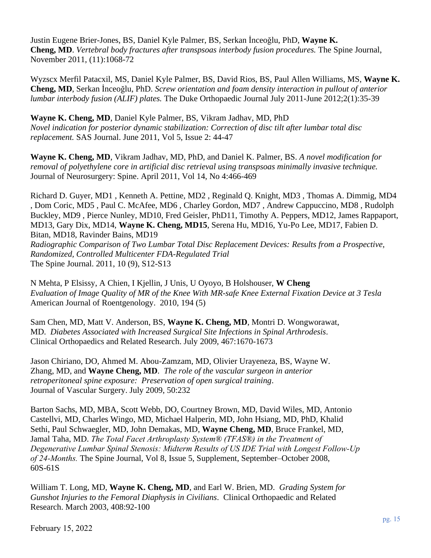Justin Eugene Brier-Jones, BS, Daniel Kyle Palmer, BS, Serkan İnceoğlu, PhD, **Wayne K. Cheng, MD**. *Vertebral body fractures after transpsoas interbody fusion procedures.* The Spine Journal, November 2011, (11):1068-72

Wyzscx Merfil Patacxil, MS, Daniel Kyle Palmer, BS, David Rios, BS, Paul Allen Williams, MS, **Wayne K. Cheng, MD**, Serkan İnceoğlu, PhD. *Screw orientation and foam density interaction in pullout of anterior lumbar interbody fusion (ALIF) plates.* The Duke Orthopaedic Journal July 2011-June 2012;2(1):35-39

**Wayne K. Cheng, MD**, Daniel Kyle Palmer, BS, Vikram Jadhav, MD, PhD *Novel indication for posterior dynamic stabilization: Correction of disc tilt after lumbar total disc replacement.* SAS Journal. June 2011, Vol 5, Issue 2: 44-47

**Wayne K. Cheng, MD**, Vikram Jadhav, MD, PhD, and Daniel K. Palmer, BS. *A novel modification for removal of polyethylene core in artificial disc retrieval using transpsoas minimally invasive technique.* Journal of Neurosurgery: Spine. April 2011, Vol 14, No 4:466-469

Richard D. Guyer, MD1 , Kenneth A. Pettine, MD2 , Reginald Q. Knight, MD3 , Thomas A. Dimmig, MD4 , Dom Coric, MD5 , Paul C. McAfee, MD6 , Charley Gordon, MD7 , Andrew Cappuccino, MD8 , Rudolph Buckley, MD9 , Pierce Nunley, MD10, Fred Geisler, PhD11, Timothy A. Peppers, MD12, James Rappaport, MD13, Gary Dix, MD14, **Wayne K. Cheng, MD15**, Serena Hu, MD16, Yu-Po Lee, MD17, Fabien D. Bitan, MD18, Ravinder Bains, MD19

*Radiographic Comparison of Two Lumbar Total Disc Replacement Devices: Results from a Prospective, Randomized, Controlled Multicenter FDA-Regulated Trial* The Spine Journal. 2011, 10 (9), S12-S13

N Mehta, P Elsissy, A Chien, I Kjellin, J Unis, U Oyoyo, B Holshouser, **W Cheng** *Evaluation of Image Quality of MR of the Knee With MR-safe Knee External Fixation Device at 3 Tesla* American Journal of Roentgenology. 2010, 194 (5)

Sam Chen, MD, Matt V. Anderson, BS, **Wayne K. Cheng, MD**, Montri D. Wongworawat, MD. *Diabetes Associated with Increased Surgical Site Infections in Spinal Arthrodesis*. Clinical Orthopaedics and Related Research. July 2009, 467:1670-1673

Jason Chiriano, DO, Ahmed M. Abou-Zamzam, MD, Olivier Urayeneza, BS, Wayne W. Zhang, MD, and **Wayne Cheng, MD**. *The role of the vascular surgeon in anterior retroperitoneal spine exposure: Preservation of open surgical training*. Journal of Vascular Surgery. July 2009, 50:232

Barton Sachs, MD, MBA, Scott Webb, DO, Courtney Brown, MD, David Wiles, MD, Antonio Castellvi, MD, Charles Wingo, MD, Michael Halperin, MD, John Hsiang, MD, PhD, Khalid Sethi, Paul Schwaegler, MD, John Demakas, MD, **Wayne Cheng, MD**, Bruce Frankel, MD, Jamal Taha, MD. *The Total Facet Arthroplasty System® (TFAS®) in the Treatment of Degenerative Lumbar Spinal Stenosis: Midterm Results of US IDE Trial with Longest Follow-Up of 24-Months.* The Spine Journal, Vol 8, Issue 5, Supplement, September–October 2008, 60S-61S

William T. Long, MD, **Wayne K. Cheng, MD**, and Earl W. Brien, MD. *Grading System for Gunshot Injuries to the Femoral Diaphysis in Civilians*. Clinical Orthopaedic and Related Research. March 2003*,* 408:92-100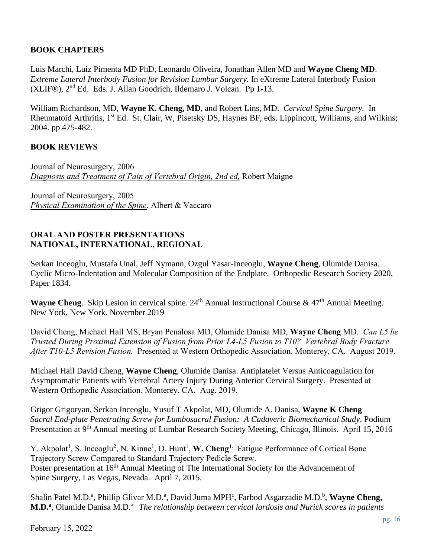#### **BOOK CHAPTERS**

Luis Marchi, Luiz Pimenta MD PhD, Leonardo Oliveira, Jonathan Allen MD and **Wayne Cheng MD**. *Extreme Lateral Interbody Fusion for Revision Lumbar Surgery.* In eXtreme Lateral Interbody Fusion (XLIF®), 2nd Ed. Eds. J. Allan Goodrich, Ildemaro J. Volcan. Pp 1-13.

William Richardson, MD, **Wayne K. Cheng, MD**, and Robert Lins, MD. *Cervical Spine Surgery.* In Rheumatoid Arthritis, 1<sup>st</sup> Ed. St. Clair, W, Pisetsky DS, Haynes BF, eds. Lippincott, Williams, and Wilkins; 2004. pp 475-482.

#### **BOOK REVIEWS**

Journal of Neurosurgery, 2006 *Diagnosis and Treatment of Pain of Vertebral Origin, 2nd ed,* Robert Maigne

Journal of Neurosurgery, 2005 *Physical Examination of the Spine*, Albert & Vaccaro

#### **ORAL AND POSTER PRESENTATIONS NATIONAL, INTERNATIONAL, REGIONAL**

Serkan Inceoglu, Mustafa Unal, Jeff Nymann, Ozgul Yasar-Inceoglu, **Wayne Cheng**, Olumide Danisa. Cyclic Micro-Indentation and Molecular Composition of the Endplate. Orthopedic Research Society 2020, Paper 1834.

**Wayne Cheng.** Skip Lesion in cervical spine.  $24<sup>th</sup>$  Annual Instructional Course  $\&$  47<sup>th</sup> Annual Meeting. New York, New York. November 2019

David Cheng, Michael Hall MS, Bryan Penalosa MD, Olumide Danisa MD, **Wayne Cheng** MD. *Can L5 be Trusted During Proximal Extension of Fusion from Prior L4-L5 Fusion to T10? Vertebral Body Fracture After T10-L5 Revision Fusion.* Presented at Western Orthopedic Association. Monterey, CA. August 2019.

Michael Hall David Cheng, **Wayne Cheng**, Olumide Danisa. Antiplatelet Versus Anticoagulation for Asymptomatic Patients with Vertebral Artery Injury During Anterior Cervical Surgery. Presented at Western Orthopedic Association. Monterey, CA. Aug. 2019.

Grigor Grigoryan, Serkan Inceoglu, Yusuf T Akpolat, MD, Olumide A. Danisa, **Wayne K Cheng** *Sacral End-plate Penetrating Screw for Lumbosacral Fusion: A Cadaveric Biomechanical Study*. Podium Presentation at 9<sup>th</sup> Annual meeting of Lumbar Research Society Meeting, Chicago, Illinois. April 15, 2016

Y. Akpolat<sup>1</sup>, S. Inceoglu<sup>2</sup>, N. Kinne<sup>1</sup>, D. Hunt<sup>1</sup>, W. Cheng<sup>1.</sup> Fatigue Performance of Cortical Bone Trajectory Screw Compared to Standard Trajectory Pedicle Screw. Poster presentation at 16<sup>th</sup> Annual Meeting of The International Society for the Advancement of Spine Surgery, Las Vegas, Nevada. April 7, 2015.

Shalin Patel M.D.<sup>a</sup>, Phillip Glivar M.D.<sup>a</sup>, David Juma MPH<sup>c</sup>, Farbod Asgarzadie M.D.<sup>b</sup>, Wayne Cheng, **M.D.**<sup>a</sup>, Olumide Danisa M.D.<sup>a</sup> The relationship between cervical lordosis and Nurick scores in patients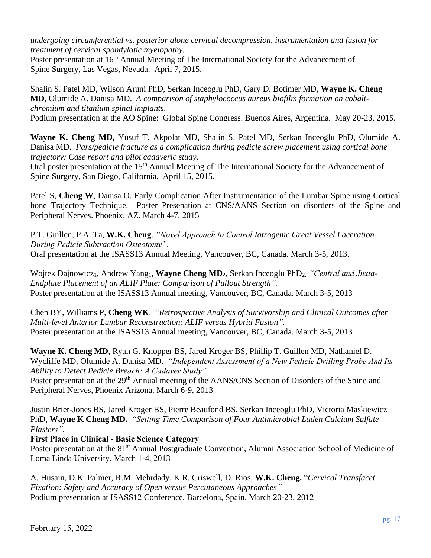*undergoing circumferential vs. posterior alone cervical decompression, instrumentation and fusion for treatment of cervical spondylotic myelopathy.*

Poster presentation at 16<sup>th</sup> Annual Meeting of The International Society for the Advancement of Spine Surgery, Las Vegas, Nevada. April 7, 2015.

Shalin S. Patel MD, Wilson Aruni PhD, Serkan Inceoglu PhD, Gary D. Botimer MD, **Wayne K. Cheng MD**, Olumide A. Danisa MD. *A comparison of staphylococcus aureus biofilm formation on cobaltchromium and titanium spinal implants*. Podium presentation at the AO Spine: Global Spine Congress. Buenos Aires, Argentina. May 20-23, 2015.

**Wayne K. Cheng MD,** Yusuf T. Akpolat MD, Shalin S. Patel MD, Serkan Inceoglu PhD, Olumide A. Danisa MD.*Pars/pedicle fracture as a complication during pedicle screw placement using cortical bone trajectory: Case report and pilot cadaveric study*.

Oral poster presentation at the 15<sup>th</sup> Annual Meeting of The International Society for the Advancement of Spine Surgery, San Diego, California. April 15, 2015.

Patel S, **Cheng W**, Danisa O. Early Complication After Instrumentation of the Lumbar Spine using Cortical bone Trajectory Technique. Poster Presenation at CNS/AANS Section on disorders of the Spine and Peripheral Nerves. Phoenix, AZ. March 4-7, 2015

P.T. Guillen, P.A. Ta, **W.K. Cheng**. *"Novel Approach to Control Iatrogenic Great Vessel Laceration During Pedicle Subtraction Osteotomy".*  Oral presentation at the ISASS13 Annual Meeting, Vancouver, BC, Canada. March 3-5, 2013.

Wojtek Dajnowicz<sub>1</sub>, Andrew Yang<sub>1</sub>, Wayne Cheng MD<sub>2</sub>, Serkan Inceoglu PhD<sub>2</sub>. *"Central and Juxta-Endplate Placement of an ALIF Plate: Comparison of Pullout Strength".*  Poster presentation at the ISASS13 Annual meeting, Vancouver, BC, Canada. March 3-5, 2013

Chen BY, Williams P, **Cheng WK**. "*Retrospective Analysis of Survivorship and Clinical Outcomes after Multi-level Anterior Lumbar Reconstruction: ALIF versus Hybrid Fusion".* Poster presentation at the ISASS13 Annual meeting, Vancouver, BC, Canada. March 3-5, 2013

**Wayne K. Cheng MD**, Ryan G. Knopper BS, Jared Kroger BS, Phillip T. Guillen MD, Nathaniel D. Wycliffe MD, Olumide A. Danisa MD. *"Independent Assessment of a New Pedicle Drilling Probe And Its Ability to Detect Pedicle Breach: A Cadaver Study"*

Poster presentation at the 29<sup>th</sup> Annual meeting of the AANS/CNS Section of Disorders of the Spine and Peripheral Nerves, Phoenix Arizona. March 6-9, 2013

Justin Brier-Jones BS, Jared Kroger BS, Pierre Beaufond BS, Serkan Inceoglu PhD, Victoria Maskiewicz PhD, **Wayne K Cheng MD.** *"Setting Time Comparison of Four Antimicrobial Laden Calcium Sulfate Plasters".*

### **First Place in Clinical - Basic Science Category**

Poster presentation at the 81<sup>st</sup> Annual Postgraduate Convention, Alumni Association School of Medicine of Loma Linda University. March 1-4, 2013

A. Husain, D.K. Palmer, R.M. Mehrdady, K.R. Criswell, D. Rios, **W.K. Cheng.** "*Cervical Transfacet Fixation: Safety and Accuracy of Open versus Percutaneous Approaches"* Podium presentation at ISASS12 Conference, Barcelona, Spain. March 20-23, 2012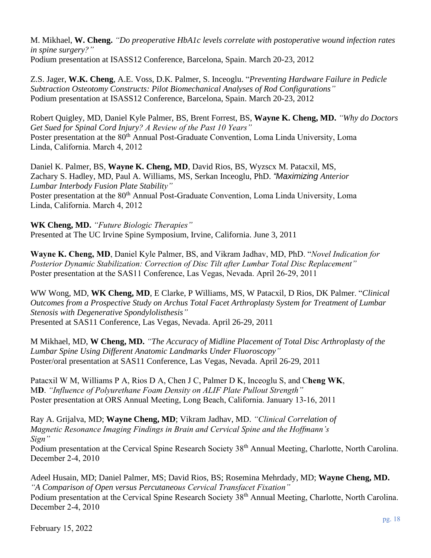M. Mikhael, **W. Cheng.** *"Do preoperative HbA1c levels correlate with postoperative wound infection rates in spine surgery?"* Podium presentation at ISASS12 Conference, Barcelona, Spain. March 20-23, 2012

Z.S. Jager, **W.K. Cheng**, A.E. Voss, D.K. Palmer, S. Inceoglu. "*Preventing Hardware Failure in Pedicle Subtraction Osteotomy Constructs: Pilot Biomechanical Analyses of Rod Configurations"* Podium presentation at ISASS12 Conference, Barcelona, Spain. March 20-23, 2012

Robert Quigley, MD, Daniel Kyle Palmer, BS, Brent Forrest, BS, **Wayne K. Cheng, MD.** *"Why do Doctors Get Sued for Spinal Cord Injury? A Review of the Past 10 Years"* Poster presentation at the 80<sup>th</sup> Annual Post-Graduate Convention, Loma Linda University, Loma Linda, California. March 4, 2012

Daniel K. Palmer, BS, **Wayne K. Cheng, MD**, David Rios, BS, Wyzscx M. Patacxil, MS, Zachary S. Hadley, MD, Paul A. Williams, MS, Serkan Inceoglu, PhD. *"Maximizing Anterior Lumbar Interbody Fusion Plate Stability"* Poster presentation at the 80<sup>th</sup> Annual Post-Graduate Convention, Loma Linda University, Loma Linda, California. March 4, 2012

**WK Cheng, MD.** *"Future Biologic Therapies"* Presented at The UC Irvine Spine Symposium, Irvine, California. June 3, 2011

**Wayne K. Cheng, MD**, Daniel Kyle Palmer, BS, and Vikram Jadhav, MD, PhD. "*Novel Indication for Posterior Dynamic Stabilization: Correction of Disc Tilt after Lumbar Total Disc Replacement"* Poster presentation at the SAS11 Conference, Las Vegas, Nevada. April 26-29, 2011

WW Wong, MD, **WK Cheng, MD**, E Clarke, P Williams, MS, W Patacxil, D Rios, DK Palmer. "*Clinical Outcomes from a Prospective Study on Archus Total Facet Arthroplasty System for Treatment of Lumbar Stenosis with Degenerative Spondylolisthesis"* Presented at SAS11 Conference, Las Vegas, Nevada. April 26-29, 2011

M Mikhael, MD, **W Cheng, MD.** *"The Accuracy of Midline Placement of Total Disc Arthroplasty of the Lumbar Spine Using Different Anatomic Landmarks Under Fluoroscopy"* Poster/oral presentation at SAS11 Conference, Las Vegas, Nevada. April 26-29, 2011

Patacxil W M, Williams P A, Rios D A, Chen J C, Palmer D K, Inceoglu S, and C**heng WK**, M**D**. *"Influence of Polyurethane Foam Density on ALIF Plate Pullout Strength"* Poster presentation at ORS Annual Meeting, Long Beach, California. January 13-16, 2011

Ray A. Grijalva, MD; **Wayne Cheng, MD**; Vikram Jadhav, MD. *"Clinical Correlation of Magnetic Resonance Imaging Findings in Brain and Cervical Spine and the Hoffmann's Sign"* Podium presentation at the Cervical Spine Research Society 38<sup>th</sup> Annual Meeting, Charlotte, North Carolina. December 2-4, 2010

Adeel Husain, MD; Daniel Palmer, MS; David Rios, BS; Rosemina Mehrdady, MD; **Wayne Cheng, MD.**  *"A Comparison of Open versus Percutaneous Cervical Transfacet Fixation"* Podium presentation at the Cervical Spine Research Society 38<sup>th</sup> Annual Meeting, Charlotte, North Carolina. December 2-4, 2010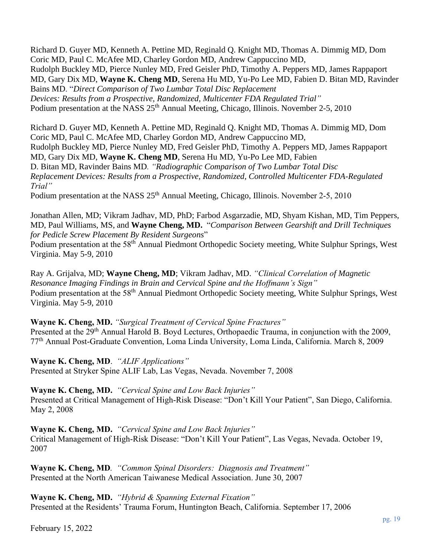Richard D. Guyer MD, Kenneth A. Pettine MD, Reginald Q. Knight MD, Thomas A. Dimmig MD, Dom Coric MD, Paul C. McAfee MD, Charley Gordon MD, Andrew Cappuccino MD, Rudolph Buckley MD, Pierce Nunley MD, Fred Geisler PhD, Timothy A. Peppers MD, James Rappaport MD, Gary Dix MD, **Wayne K. Cheng MD**, Serena Hu MD, Yu-Po Lee MD, Fabien D. Bitan MD, Ravinder Bains MD. "*Direct Comparison of Two Lumbar Total Disc Replacement Devices: Results from a Prospective, Randomized, Multicenter FDA Regulated Trial"* Podium presentation at the NASS 25<sup>th</sup> Annual Meeting, Chicago, Illinois. November 2-5, 2010

Richard D. Guyer MD, Kenneth A. Pettine MD, Reginald Q. Knight MD, Thomas A. Dimmig MD, Dom Coric MD, Paul C. McAfee MD, Charley Gordon MD, Andrew Cappuccino MD, Rudolph Buckley MD, Pierce Nunley MD, Fred Geisler PhD, Timothy A. Peppers MD, James Rappaport MD, Gary Dix MD, **Wayne K. Cheng MD**, Serena Hu MD, Yu-Po Lee MD, Fabien D. Bitan MD, Ravinder Bains MD*. "Radiographic Comparison of Two Lumbar Total Disc Replacement Devices: Results from a Prospective, Randomized, Controlled Multicenter FDA-Regulated Trial"*

Podium presentation at the NASS 25<sup>th</sup> Annual Meeting, Chicago, Illinois. November 2-5, 2010

Jonathan Allen, MD; Vikram Jadhav, MD, PhD; Farbod Asgarzadie, MD, Shyam Kishan, MD, Tim Peppers, MD, Paul Williams, MS, and **Wayne Cheng, MD.** "*Comparison Between Gearshift and Drill Techniques for Pedicle Screw Placement By Resident Surgeons*"

Podium presentation at the 58<sup>th</sup> Annual Piedmont Orthopedic Society meeting, White Sulphur Springs, West Virginia. May 5-9, 2010

Ray A. Grijalva, MD; **Wayne Cheng, MD**; Vikram Jadhav, MD. *"Clinical Correlation of Magnetic Resonance Imaging Findings in Brain and Cervical Spine and the Hoffmann's Sign"* Podium presentation at the 58<sup>th</sup> Annual Piedmont Orthopedic Society meeting, White Sulphur Springs, West Virginia. May 5-9, 2010

**Wayne K. Cheng, MD.** *"Surgical Treatment of Cervical Spine Fractures"* Presented at the 29<sup>th</sup> Annual Harold B. Boyd Lectures, Orthopaedic Trauma, in conjunction with the 2009, 77th Annual Post-Graduate Convention, Loma Linda University, Loma Linda, California. March 8, 2009

**Wayne K. Cheng, MD**. *"ALIF Applications"* Presented at Stryker Spine ALIF Lab, Las Vegas, Nevada. November 7, 2008

**Wayne K. Cheng, MD.** *"Cervical Spine and Low Back Injuries"* Presented at Critical Management of High-Risk Disease: "Don't Kill Your Patient", San Diego, California. May 2, 2008

**Wayne K. Cheng, MD.** *"Cervical Spine and Low Back Injuries"* Critical Management of High-Risk Disease: "Don't Kill Your Patient", Las Vegas, Nevada. October 19, 2007

**Wayne K. Cheng, MD***. "Common Spinal Disorders: Diagnosis and Treatment"* Presented at the North American Taiwanese Medical Association. June 30, 2007

**Wayne K. Cheng, MD.** *"Hybrid & Spanning External Fixation"* Presented at the Residents' Trauma Forum, Huntington Beach, California. September 17, 2006

February 15, 2022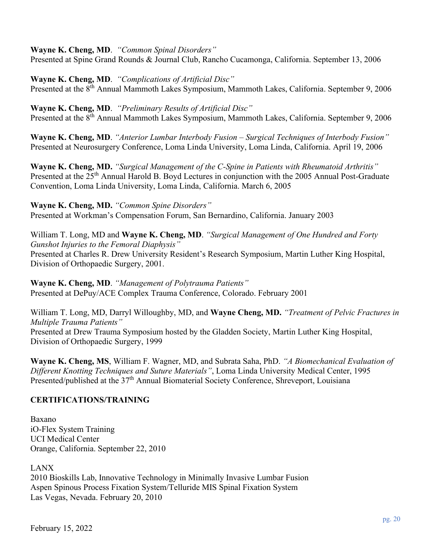#### **Wayne K. Cheng, MD**. *"Common Spinal Disorders"*

Presented at Spine Grand Rounds & Journal Club, Rancho Cucamonga, California. September 13, 2006

**Wayne K. Cheng, MD**. *"Complications of Artificial Disc"* Presented at the 8<sup>th</sup> Annual Mammoth Lakes Symposium, Mammoth Lakes, California. September 9, 2006

**Wayne K. Cheng, MD**. *"Preliminary Results of Artificial Disc"* Presented at the 8<sup>th</sup> Annual Mammoth Lakes Symposium, Mammoth Lakes, California. September 9, 2006

**Wayne K. Cheng, MD**. *"Anterior Lumbar Interbody Fusion – Surgical Techniques of Interbody Fusion"* Presented at Neurosurgery Conference, Loma Linda University, Loma Linda, California. April 19, 2006

**Wayne K. Cheng, MD.** *"Surgical Management of the C-Spine in Patients with Rheumatoid Arthritis"* Presented at the 25<sup>th</sup> Annual Harold B. Boyd Lectures in conjunction with the 2005 Annual Post-Graduate Convention, Loma Linda University, Loma Linda, California. March 6, 2005

**Wayne K. Cheng, MD.** *"Common Spine Disorders"* Presented at Workman's Compensation Forum, San Bernardino, California. January 2003

William T. Long, MD and **Wayne K. Cheng, MD**. *"Surgical Management of One Hundred and Forty Gunshot Injuries to the Femoral Diaphysis"* Presented at Charles R. Drew University Resident's Research Symposium, Martin Luther King Hospital, Division of Orthopaedic Surgery, 2001.

**Wayne K. Cheng, MD**. *"Management of Polytrauma Patients"* Presented at DePuy/ACE Complex Trauma Conference, Colorado. February 2001

William T. Long, MD, Darryl Willoughby, MD, and **Wayne Cheng, MD.** *"Treatment of Pelvic Fractures in Multiple Trauma Patients"* Presented at Drew Trauma Symposium hosted by the Gladden Society, Martin Luther King Hospital, Division of Orthopaedic Surgery, 1999

**Wayne K. Cheng, MS**, William F. Wagner, MD, and Subrata Saha, PhD. *"A Biomechanical Evaluation of Different Knotting Techniques and Suture Materials"*, Loma Linda University Medical Center, 1995 Presented/published at the 37<sup>th</sup> Annual Biomaterial Society Conference, Shreveport, Louisiana

#### **CERTIFICATIONS/TRAINING**

Baxano iO-Flex System Training UCI Medical Center Orange, California. September 22, 2010

#### LANX

2010 Bioskills Lab, Innovative Technology in Minimally Invasive Lumbar Fusion Aspen Spinous Process Fixation System/Telluride MIS Spinal Fixation System Las Vegas, Nevada. February 20, 2010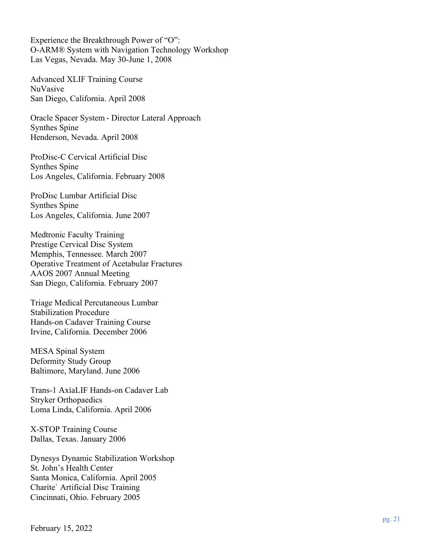Experience the Breakthrough Power of "O": O-ARM® System with Navigation Technology Workshop Las Vegas, Nevada. May 30 -June 1, 2008

Advanced XLIF Training Course NuVasive San Diego, California. April 2008

Oracle Spacer System - Director Lateral Approach Synthes Spine Henderson, Nevada. April 2008

ProDisc -C Cervical Artificial Disc Synthes Spine Los Angeles, California. February 2008

ProDisc Lumbar Artificial Disc Synthes Spine Los Angeles, California. June 2007

Medtronic Faculty Training Prestige Cervical Disc System Memphis, Tennessee. March 2007 Operative Treatment of Acetabular Fractures AAOS 2007 Annual Meetin g San Diego, California. February 2007

Triage Medical Percutaneous Lumbar Stabilization Procedure Hands -on Cadaver Training Course Irvine, California. December 2006

MESA Spinal System Deformity Study Group Baltimore, Maryland. June 2006

Trans -1 AxiaLIF Hands -on Cadaver Lab Stryker Orthopaedics Loma Linda, California . April 2006

X -STOP Training Course Dallas, Texas. January 2006

Dynesys Dynamic Stabilization Workshop St. John's Health Center Santa Monica, California. April 2005 Charite` Artificial Disc Training Cincinnati, Ohio. February 2005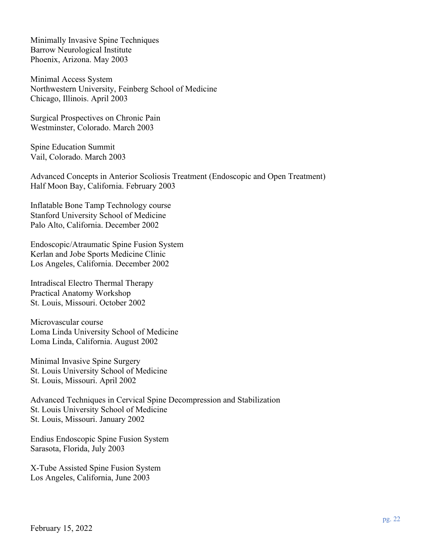Minimally Invasive Spine Techniques Barrow Neurological Institute Phoenix, Arizona. May 2003

Minimal Access System Northwestern University, Feinberg School of Medicine Chicago, Illinois. April 2003

Surgical Prospectives on Chronic Pain Westminster, Colorado. March 2003

Spine Education Summit Vail, Colorado. March 2003

Advanced Concepts in Anterior Scoliosis Treatment (Endoscopic and Open Treatment) Half Moon Bay, California. February 2003

Inflatable Bone Tamp Technology course Stanford University School of Medicine Palo Alto, California. December 2002

Endoscopic/Atraumatic Spine Fusion System Kerlan and Jobe Sports Medicine Clinic Los Angeles, California. December 2002

Intradiscal Electro Thermal Therapy Practical Anatomy Workshop St. Louis, Missouri. October 2002

Microvascular course Loma Linda University School of Medicine Loma Linda, California. August 2002

Minimal Invasive Spine Surgery St. Louis University School of Medicine St. Louis, Missouri. April 2002

Advanced Techniques in Cervical Spine Decompression and Stabilization St. Louis University School of Medicine St. Louis, Missouri. January 2002

Endius Endoscopic Spine Fusion System Sarasota, Florida, July 2003

X-Tube Assisted Spine Fusion System Los Angeles, California, June 2003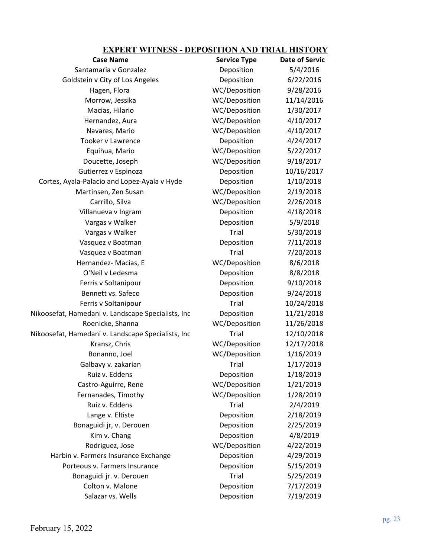#### **EXPERT WITNESS - DEPOSITION AND TRIAL HISTORY**

| <b>Case Name</b>                                   | <b>Service Type</b> | <b>Date of Servic</b> |
|----------------------------------------------------|---------------------|-----------------------|
| Santamaria v Gonzalez                              | Deposition          | 5/4/2016              |
| Goldstein v City of Los Angeles                    | Deposition          | 6/22/2016             |
| Hagen, Flora                                       | WC/Deposition       | 9/28/2016             |
| Morrow, Jessika                                    | WC/Deposition       | 11/14/2016            |
| Macias, Hilario                                    | WC/Deposition       | 1/30/2017             |
| Hernandez, Aura                                    | WC/Deposition       | 4/10/2017             |
| Navares, Mario                                     | WC/Deposition       | 4/10/2017             |
| Tooker v Lawrence                                  | Deposition          | 4/24/2017             |
| Equihua, Mario                                     | WC/Deposition       | 5/22/2017             |
| Doucette, Joseph                                   | WC/Deposition       | 9/18/2017             |
| Gutierrez v Espinoza                               | Deposition          | 10/16/2017            |
| Cortes, Ayala-Palacio and Lopez-Ayala v Hyde       | Deposition          | 1/10/2018             |
| Martinsen, Zen Susan                               | WC/Deposition       | 2/19/2018             |
| Carrillo, Silva                                    | WC/Deposition       | 2/26/2018             |
| Villanueva v Ingram                                | Deposition          | 4/18/2018             |
| Vargas v Walker                                    | Deposition          | 5/9/2018              |
| Vargas v Walker                                    | Trial               | 5/30/2018             |
| Vasquez v Boatman                                  | Deposition          | 7/11/2018             |
| Vasquez v Boatman                                  | Trial               | 7/20/2018             |
| Hernandez- Macias, E                               | WC/Deposition       | 8/6/2018              |
| O'Neil v Ledesma                                   | Deposition          | 8/8/2018              |
| Ferris v Soltanipour                               | Deposition          | 9/10/2018             |
| Bennett vs. Safeco                                 | Deposition          | 9/24/2018             |
| Ferris v Soltanipour                               | Trial               | 10/24/2018            |
| Nikoosefat, Hamedani v. Landscape Specialists, Inc | Deposition          | 11/21/2018            |
| Roenicke, Shanna                                   | WC/Deposition       | 11/26/2018            |
| Nikoosefat, Hamedani v. Landscape Specialists, Inc | Trial               | 12/10/2018            |
| Kransz, Chris                                      | WC/Deposition       | 12/17/2018            |
| Bonanno, Joel                                      | WC/Deposition       | 1/16/2019             |
| Galbavy v. zakarian                                | Trial               | 1/17/2019             |
| Ruiz v. Eddens                                     | Deposition          | 1/18/2019             |
| Castro-Aguirre, Rene                               | WC/Deposition       | 1/21/2019             |
| Fernanades, Timothy                                | WC/Deposition       | 1/28/2019             |
| Ruiz v. Eddens                                     | Trial               | 2/4/2019              |
| Lange v. Eltiste                                   | Deposition          | 2/18/2019             |
| Bonaguidi jr, v. Derouen                           | Deposition          | 2/25/2019             |
| Kim v. Chang                                       | Deposition          | 4/8/2019              |
| Rodriguez, Jose                                    | WC/Deposition       | 4/22/2019             |
| Harbin v. Farmers Insurance Exchange               | Deposition          | 4/29/2019             |
| Porteous v. Farmers Insurance                      | Deposition          | 5/15/2019             |
| Bonaguidi jr. v. Derouen                           | Trial               | 5/25/2019             |
| Colton v. Malone                                   | Deposition          | 7/17/2019             |
| Salazar vs. Wells                                  | Deposition          | 7/19/2019             |